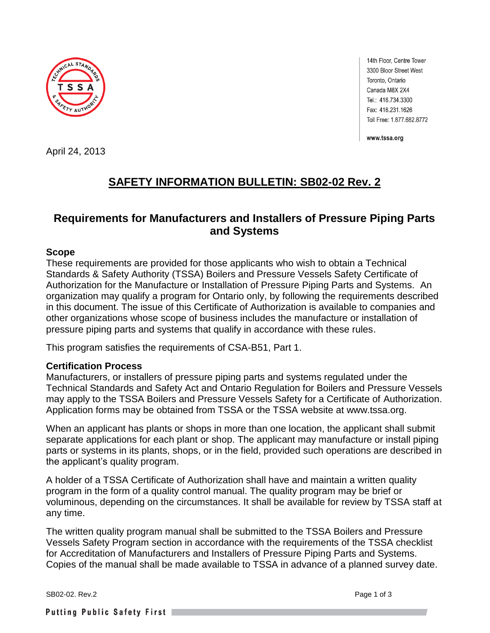

14th Floor, Centre Tower 3300 Bloor Street West Toronto, Ontario Canada M8X 2X4 Tel.: 416.734.3300 Fax: 416.231.1626 Toll Free: 1.877.682.8772

www.tssa.org

April 24, 2013

# **SAFETY INFORMATION BULLETIN: SB02-02 Rev. 2**

## **Requirements for Manufacturers and Installers of Pressure Piping Parts and Systems**

### **Scope**

These requirements are provided for those applicants who wish to obtain a Technical Standards & Safety Authority (TSSA) Boilers and Pressure Vessels Safety Certificate of Authorization for the Manufacture or Installation of Pressure Piping Parts and Systems. An organization may qualify a program for Ontario only, by following the requirements described in this document. The issue of this Certificate of Authorization is available to companies and other organizations whose scope of business includes the manufacture or installation of pressure piping parts and systems that qualify in accordance with these rules.

This program satisfies the requirements of CSA-B51, Part 1.

## **Certification Process**

Manufacturers, or installers of pressure piping parts and systems regulated under the Technical Standards and Safety Act and Ontario Regulation for Boilers and Pressure Vessels may apply to the TSSA Boilers and Pressure Vessels Safety for a Certificate of Authorization. Application forms may be obtained from TSSA or the TSSA website at www.tssa.org.

When an applicant has plants or shops in more than one location, the applicant shall submit separate applications for each plant or shop. The applicant may manufacture or install piping parts or systems in its plants, shops, or in the field, provided such operations are described in the applicant's quality program.

A holder of a TSSA Certificate of Authorization shall have and maintain a written quality program in the form of a quality control manual. The quality program may be brief or voluminous, depending on the circumstances. It shall be available for review by TSSA staff at any time.

The written quality program manual shall be submitted to the TSSA Boilers and Pressure Vessels Safety Program section in accordance with the requirements of the TSSA checklist for Accreditation of Manufacturers and Installers of Pressure Piping Parts and Systems. Copies of the manual shall be made available to TSSA in advance of a planned survey date.

SB02-02. Rev.2 **Page 1 of 3** 

Putting Public Safety First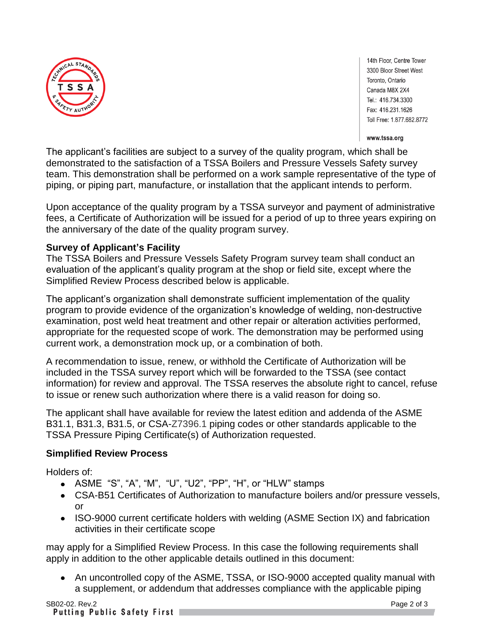

14th Floor, Centre Tower 3300 Bloor Street West Toronto, Ontario Canada M8X 2X4 Tel.: 416.734.3300 Fax: 416.231.1626 Toll Free: 1.877.682.8772

#### www.tssa.org

The applicant's facilities are subject to a survey of the quality program, which shall be demonstrated to the satisfaction of a TSSA Boilers and Pressure Vessels Safety survey team. This demonstration shall be performed on a work sample representative of the type of piping, or piping part, manufacture, or installation that the applicant intends to perform.

Upon acceptance of the quality program by a TSSA surveyor and payment of administrative fees, a Certificate of Authorization will be issued for a period of up to three years expiring on the anniversary of the date of the quality program survey.

### **Survey of Applicant's Facility**

The TSSA Boilers and Pressure Vessels Safety Program survey team shall conduct an evaluation of the applicant's quality program at the shop or field site, except where the Simplified Review Process described below is applicable.

The applicant's organization shall demonstrate sufficient implementation of the quality program to provide evidence of the organization's knowledge of welding, non-destructive examination, post weld heat treatment and other repair or alteration activities performed, appropriate for the requested scope of work. The demonstration may be performed using current work, a demonstration mock up, or a combination of both.

A recommendation to issue, renew, or withhold the Certificate of Authorization will be included in the TSSA survey report which will be forwarded to the TSSA (see contact information) for review and approval. The TSSA reserves the absolute right to cancel, refuse to issue or renew such authorization where there is a valid reason for doing so.

The applicant shall have available for review the latest edition and addenda of the ASME B31.1, B31.3, B31.5, or CSA-Z7396.1 piping codes or other standards applicable to the TSSA Pressure Piping Certificate(s) of Authorization requested.

#### **Simplified Review Process**

Holders of:

- ASME "S", "A", "M", "U", "U2", "PP", "H", or "HLW" stamps
- CSA-B51 Certificates of Authorization to manufacture boilers and/or pressure vessels, or
- ISO-9000 current certificate holders with welding (ASME Section IX) and fabrication activities in their certificate scope

may apply for a Simplified Review Process. In this case the following requirements shall apply in addition to the other applicable details outlined in this document:

• An uncontrolled copy of the ASME, TSSA, or ISO-9000 accepted quality manual with a supplement, or addendum that addresses compliance with the applicable piping